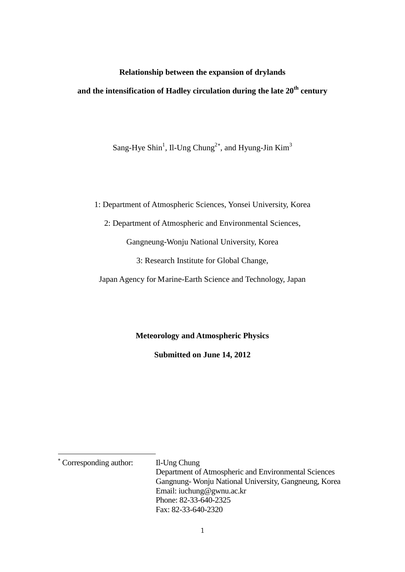## **Relationship between the expansion of drylands**

# **and the intensification of Hadley circulation during the late 20th century**

Sang-Hye Shin<sup>1</sup>, Il-Ung Chung<sup>2\*</sup>, and Hyung-Jin Kim<sup>3</sup>

1: Department of Atmospheric Sciences, Yonsei University, Korea

2: Department of Atmospheric and Environmental Sciences,

Gangneung-Wonju National University, Korea

3: Research Institute for Global Change,

Japan Agency for Marine-Earth Science and Technology, Japan

## **Meteorology and Atmospheric Physics**

**Submitted on June 14, 2012**

<span id="page-0-0"></span><sup>∗</sup> Corresponding author: Il-Ung Chung

Department of Atmospheric and Environmental Sciences Gangnung- Wonju National University, Gangneung, Korea Email: iuchung@gwnu.ac.kr Phone: 82-33-640-2325 Fax: 82-33-640-2320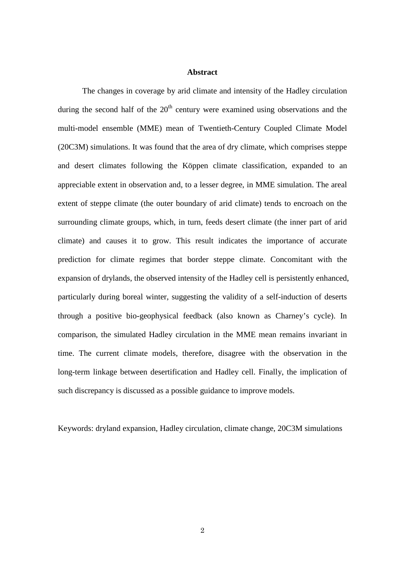#### **Abstract**

The changes in coverage by arid climate and intensity of the Hadley circulation during the second half of the  $20<sup>th</sup>$  century were examined using observations and the multi-model ensemble (MME) mean of Twentieth-Century Coupled Climate Model (20C3M) simulations. It was found that the area of dry climate, which comprises steppe and desert climates following the Köppen climate classification, expanded to an appreciable extent in observation and, to a lesser degree, in MME simulation. The areal extent of steppe climate (the outer boundary of arid climate) tends to encroach on the surrounding climate groups, which, in turn, feeds desert climate (the inner part of arid climate) and causes it to grow. This result indicates the importance of accurate prediction for climate regimes that border steppe climate. Concomitant with the expansion of drylands, the observed intensity of the Hadley cell is persistently enhanced, particularly during boreal winter, suggesting the validity of a self-induction of deserts through a positive bio-geophysical feedback (also known as Charney's cycle). In comparison, the simulated Hadley circulation in the MME mean remains invariant in time. The current climate models, therefore, disagree with the observation in the long-term linkage between desertification and Hadley cell. Finally, the implication of such discrepancy is discussed as a possible guidance to improve models.

Keywords: dryland expansion, Hadley circulation, climate change, 20C3M simulations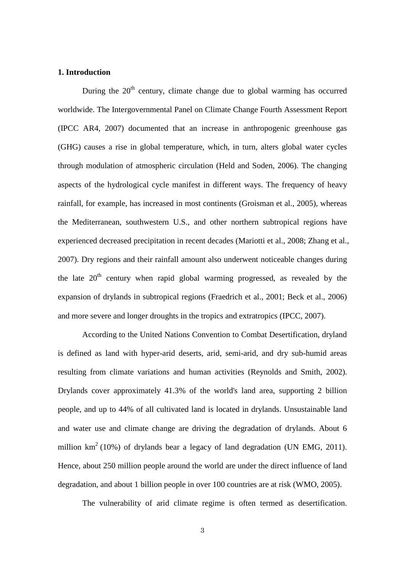#### **1. Introduction**

During the  $20<sup>th</sup>$  century, climate change due to global warming has occurred worldwide. The Intergovernmental Panel on Climate Change Fourth Assessment Report (IPCC AR4, 2007) documented that an increase in anthropogenic greenhouse gas (GHG) causes a rise in global temperature, which, in turn, alters global water cycles through modulation of atmospheric circulation (Held and Soden, 2006). The changing aspects of the hydrological cycle manifest in different ways. The frequency of heavy rainfall, for example, has increased in most continents (Groisman et al., 2005), whereas the Mediterranean, southwestern U.S., and other northern subtropical regions have experienced decreased precipitation in recent decades (Mariotti et al., 2008; Zhang et al., 2007). Dry regions and their rainfall amount also underwent noticeable changes during the late  $20<sup>th</sup>$  century when rapid global warming progressed, as revealed by the expansion of drylands in subtropical regions (Fraedrich et al., 2001; Beck et al., 2006) and more severe and longer droughts in the tropics and extratropics (IPCC, 2007).

According to the United Nations Convention to Combat Desertification, dryland is defined as land with hyper-arid deserts, arid, semi-arid, and dry sub-humid areas resulting from climate variations and human activities (Reynolds and Smith, 2002). Drylands cover approximately 41.3% of the world's land area, supporting 2 billion people, and up to 44% of all cultivated land is located in drylands. Unsustainable land and water use and climate change are driving the degradation of drylands. About 6 million  $km^2$  (10%) of drylands bear a legacy of land degradation (UN EMG, 2011). Hence, about 250 million people around the world are under the direct influence of land degradation, and about 1 billion people in over 100 countries are at risk (WMO, 2005).

The vulnerability of arid climate regime is often termed as desertification.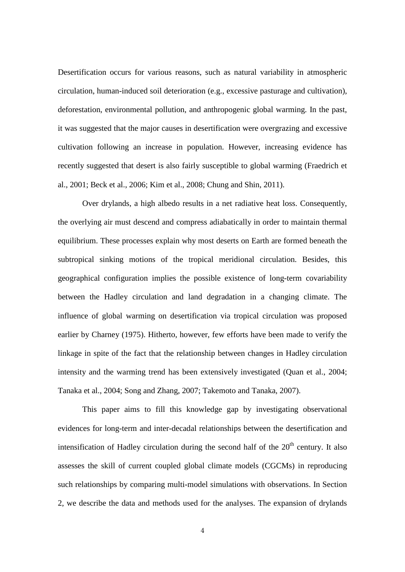Desertification occurs for various reasons, such as natural variability in atmospheric circulation, human-induced soil deterioration (e.g., excessive pasturage and cultivation), deforestation, environmental pollution, and anthropogenic global warming. In the past, it was suggested that the major causes in desertification were overgrazing and excessive cultivation following an increase in population. However, increasing evidence has recently suggested that desert is also fairly susceptible to global warming (Fraedrich et al., 2001; Beck et al., 2006; Kim et al., 2008; Chung and Shin, 2011).

Over drylands, a high albedo results in a net radiative heat loss. Consequently, the overlying air must descend and compress adiabatically in order to maintain thermal equilibrium. These processes explain why most deserts on Earth are formed beneath the subtropical sinking motions of the tropical meridional circulation. Besides, this geographical configuration implies the possible existence of long-term covariability between the Hadley circulation and land degradation in a changing climate. The influence of global warming on desertification via tropical circulation was proposed earlier by Charney (1975). Hitherto, however, few efforts have been made to verify the linkage in spite of the fact that the relationship between changes in Hadley circulation intensity and the warming trend has been extensively investigated (Quan et al., 2004; Tanaka et al., 2004; Song and Zhang, 2007; Takemoto and Tanaka, 2007).

This paper aims to fill this knowledge gap by investigating observational evidences for long-term and inter-decadal relationships between the desertification and intensification of Hadley circulation during the second half of the  $20<sup>th</sup>$  century. It also assesses the skill of current coupled global climate models (CGCMs) in reproducing such relationships by comparing multi-model simulations with observations. In Section 2, we describe the data and methods used for the analyses. The expansion of drylands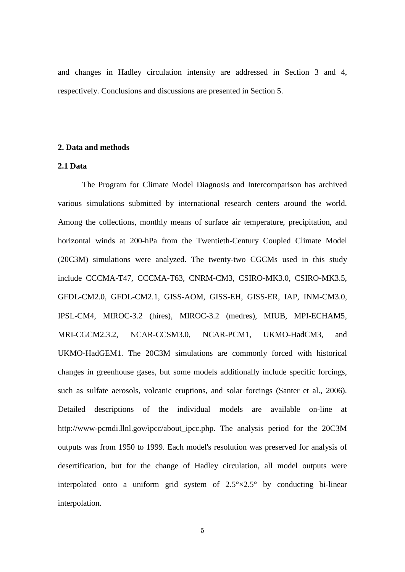and changes in Hadley circulation intensity are addressed in Section 3 and 4, respectively. Conclusions and discussions are presented in Section 5.

#### **2. Data and methods**

## **2.1 Data**

The Program for Climate Model Diagnosis and Intercomparison has archived various simulations submitted by international research centers around the world. Among the collections, monthly means of surface air temperature, precipitation, and horizontal winds at 200-hPa from the Twentieth-Century Coupled Climate Model (20C3M) simulations were analyzed. The twenty-two CGCMs used in this study include CCCMA-T47, CCCMA-T63, CNRM-CM3, CSIRO-MK3.0, CSIRO-MK3.5, GFDL-CM2.0, GFDL-CM2.1, GISS-AOM, GISS-EH, GISS-ER, IAP, INM-CM3.0, IPSL-CM4, MIROC-3.2 (hires), MIROC-3.2 (medres), MIUB, MPI-ECHAM5, MRI-CGCM2.3.2, NCAR-CCSM3.0, NCAR-PCM1, UKMO-HadCM3, and UKMO-HadGEM1. The 20C3M simulations are commonly forced with historical changes in greenhouse gases, but some models additionally include specific forcings, such as sulfate aerosols, volcanic eruptions, and solar forcings (Santer et al., 2006). Detailed descriptions of the individual models are available on-line at http://www-pcmdi.llnl.gov/ipcc/about\_ipcc.php. The analysis period for the 20C3M outputs was from 1950 to 1999. Each model's resolution was preserved for analysis of desertification, but for the change of Hadley circulation, all model outputs were interpolated onto a uniform grid system of  $2.5^{\circ} \times 2.5^{\circ}$  by conducting bi-linear interpolation.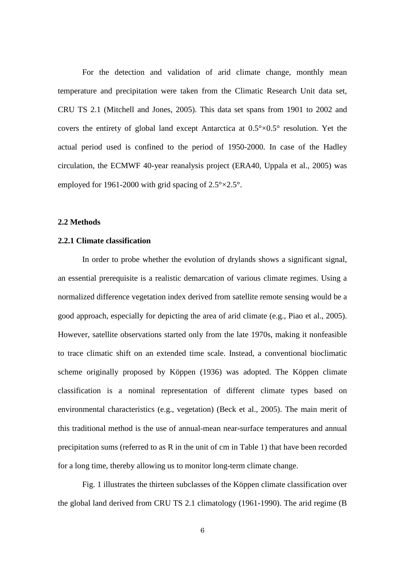For the detection and validation of arid climate change, monthly mean temperature and precipitation were taken from the Climatic Research Unit data set, CRU TS 2.1 (Mitchell and Jones, 2005). This data set spans from 1901 to 2002 and covers the entirety of global land except Antarctica at 0.5°×0.5° resolution. Yet the actual period used is confined to the period of 1950-2000. In case of the Hadley circulation, the ECMWF 40-year reanalysis project (ERA40, Uppala et al., 2005) was employed for 1961-2000 with grid spacing of  $2.5^{\circ} \times 2.5^{\circ}$ .

## **2.2 Methods**

#### **2.2.1 Climate classification**

In order to probe whether the evolution of drylands shows a significant signal, an essential prerequisite is a realistic demarcation of various climate regimes. Using a normalized difference vegetation index derived from satellite remote sensing would be a good approach, especially for depicting the area of arid climate (e.g., Piao et al., 2005). However, satellite observations started only from the late 1970s, making it nonfeasible to trace climatic shift on an extended time scale. Instead, a conventional bioclimatic scheme originally proposed by Köppen (1936) was adopted. The Köppen climate classification is a nominal representation of different climate types based on environmental characteristics (e.g., vegetation) (Beck et al., 2005). The main merit of this traditional method is the use of annual-mean near-surface temperatures and annual precipitation sums (referred to as R in the unit of cm in Table 1) that have been recorded for a long time, thereby allowing us to monitor long-term climate change.

Fig. 1 illustrates the thirteen subclasses of the Köppen climate classification over the global land derived from CRU TS 2.1 climatology (1961-1990). The arid regime (B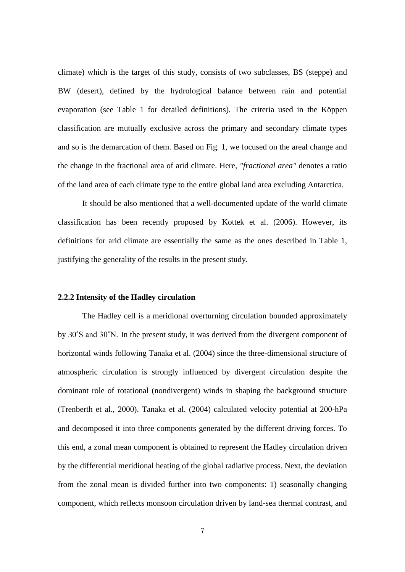climate) which is the target of this study, consists of two subclasses, BS (steppe) and BW (desert), defined by the hydrological balance between rain and potential evaporation (see Table 1 for detailed definitions). The criteria used in the Köppen classification are mutually exclusive across the primary and secondary climate types and so is the demarcation of them. Based on Fig. 1, we focused on the areal change and the change in the fractional area of arid climate. Here, *"fractional area"* denotes a ratio of the land area of each climate type to the entire global land area excluding Antarctica.

It should be also mentioned that a well-documented update of the world climate classification has been recently proposed by Kottek et al. (2006). However, its definitions for arid climate are essentially the same as the ones described in Table 1, justifying the generality of the results in the present study.

#### **2.2.2 Intensity of the Hadley circulation**

The Hadley cell is a meridional overturning circulation bounded approximately by 30˚S and 30˚N. In the present study, it was derived from the divergent component of horizontal winds following Tanaka et al. (2004) since the three-dimensional structure of atmospheric circulation is strongly influenced by divergent circulation despite the dominant role of rotational (nondivergent) winds in shaping the background structure (Trenberth et al., 2000). Tanaka et al. (2004) calculated velocity potential at 200-hPa and decomposed it into three components generated by the different driving forces. To this end, a zonal mean component is obtained to represent the Hadley circulation driven by the differential meridional heating of the global radiative process. Next, the deviation from the zonal mean is divided further into two components: 1) seasonally changing component, which reflects monsoon circulation driven by land-sea thermal contrast, and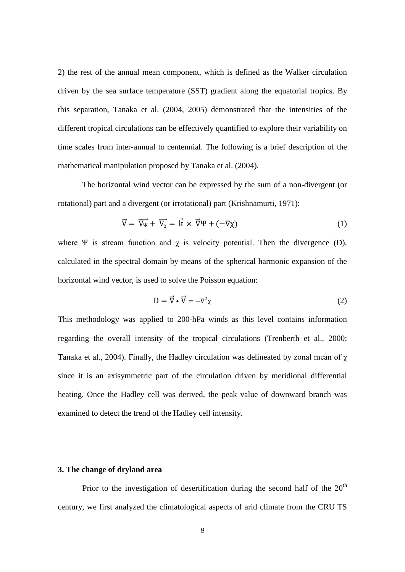2) the rest of the annual mean component, which is defined as the Walker circulation driven by the sea surface temperature (SST) gradient along the equatorial tropics. By this separation, Tanaka et al. (2004, 2005) demonstrated that the intensities of the different tropical circulations can be effectively quantified to explore their variability on time scales from inter-annual to centennial. The following is a brief description of the mathematical manipulation proposed by Tanaka et al. (2004).

The horizontal wind vector can be expressed by the sum of a non-divergent (or rotational) part and a divergent (or irrotational) part (Krishnamurti, 1971):

$$
\vec{V} = \vec{V_{\Psi}} + \vec{V_{\chi}} = \vec{k} \times \vec{\nabla}\Psi + (-\nabla\chi)
$$
 (1)

where  $\Psi$  is stream function and  $\chi$  is velocity potential. Then the divergence (D), calculated in the spectral domain by means of the spherical harmonic expansion of the horizontal wind vector, is used to solve the Poisson equation:

$$
D = \vec{\nabla} \cdot \vec{V} = -\nabla^2 \chi \tag{2}
$$

This methodology was applied to 200-hPa winds as this level contains information regarding the overall intensity of the tropical circulations (Trenberth et al., 2000; Tanaka et al., 2004). Finally, the Hadley circulation was delineated by zonal mean of  $\chi$ since it is an axisymmetric part of the circulation driven by meridional differential heating. Once the Hadley cell was derived, the peak value of downward branch was examined to detect the trend of the Hadley cell intensity.

#### **3. The change of dryland area**

Prior to the investigation of desertification during the second half of the  $20<sup>th</sup>$ century, we first analyzed the climatological aspects of arid climate from the CRU TS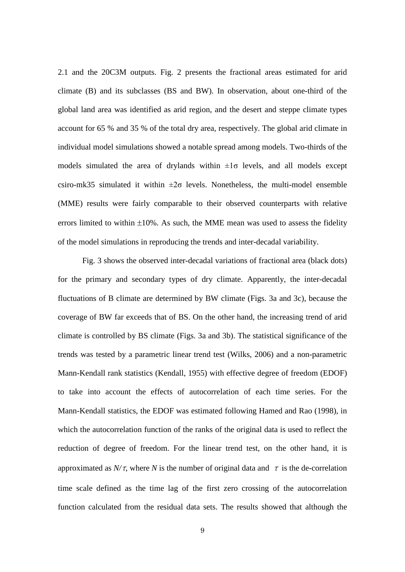2.1 and the 20C3M outputs. Fig. 2 presents the fractional areas estimated for arid climate (B) and its subclasses (BS and BW). In observation, about one-third of the global land area was identified as arid region, and the desert and steppe climate types account for 65 % and 35 % of the total dry area, respectively. The global arid climate in individual model simulations showed a notable spread among models. Two-thirds of the models simulated the area of drylands within  $\pm 1\sigma$  levels, and all models except csiro-mk35 simulated it within  $\pm 2\sigma$  levels. Nonetheless, the multi-model ensemble (MME) results were fairly comparable to their observed counterparts with relative errors limited to within  $\pm 10\%$ . As such, the MME mean was used to assess the fidelity of the model simulations in reproducing the trends and inter-decadal variability.

Fig. 3 shows the observed inter-decadal variations of fractional area (black dots) for the primary and secondary types of dry climate. Apparently, the inter-decadal fluctuations of B climate are determined by BW climate (Figs. 3a and 3c), because the coverage of BW far exceeds that of BS. On the other hand, the increasing trend of arid climate is controlled by BS climate (Figs. 3a and 3b). The statistical significance of the trends was tested by a parametric linear trend test (Wilks, 2006) and a non-parametric Mann-Kendall rank statistics (Kendall, 1955) with effective degree of freedom (EDOF) to take into account the effects of autocorrelation of each time series. For the Mann-Kendall statistics, the EDOF was estimated following Hamed and Rao (1998), in which the autocorrelation function of the ranks of the original data is used to reflect the reduction of degree of freedom. For the linear trend test, on the other hand, it is approximated as  $N/\tau$ , where *N* is the number of original data and  $\tau$  is the de-correlation time scale defined as the time lag of the first zero crossing of the autocorrelation function calculated from the residual data sets. The results showed that although the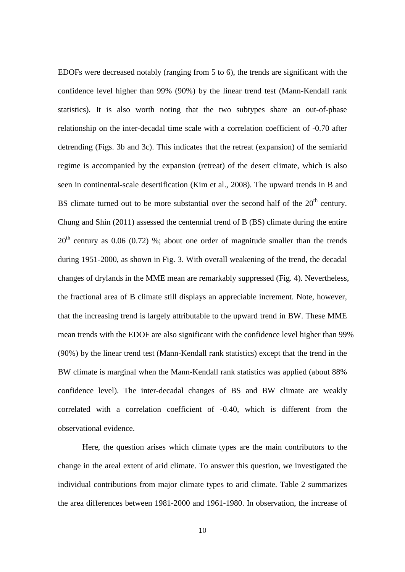EDOFs were decreased notably (ranging from 5 to 6), the trends are significant with the confidence level higher than 99% (90%) by the linear trend test (Mann-Kendall rank statistics). It is also worth noting that the two subtypes share an out-of-phase relationship on the inter-decadal time scale with a correlation coefficient of -0.70 after detrending (Figs. 3b and 3c). This indicates that the retreat (expansion) of the semiarid regime is accompanied by the expansion (retreat) of the desert climate, which is also seen in continental-scale desertification (Kim et al., 2008). The upward trends in B and BS climate turned out to be more substantial over the second half of the  $20<sup>th</sup>$  century. Chung and Shin (2011) assessed the centennial trend of B (BS) climate during the entire  $20<sup>th</sup>$  century as 0.06 (0.72) %; about one order of magnitude smaller than the trends during 1951-2000, as shown in Fig. 3. With overall weakening of the trend, the decadal changes of drylands in the MME mean are remarkably suppressed (Fig. 4). Nevertheless, the fractional area of B climate still displays an appreciable increment. Note, however, that the increasing trend is largely attributable to the upward trend in BW. These MME mean trends with the EDOF are also significant with the confidence level higher than 99% (90%) by the linear trend test (Mann-Kendall rank statistics) except that the trend in the BW climate is marginal when the Mann-Kendall rank statistics was applied (about 88% confidence level). The inter-decadal changes of BS and BW climate are weakly correlated with a correlation coefficient of -0.40, which is different from the observational evidence.

Here, the question arises which climate types are the main contributors to the change in the areal extent of arid climate. To answer this question, we investigated the individual contributions from major climate types to arid climate. Table 2 summarizes the area differences between 1981-2000 and 1961-1980. In observation, the increase of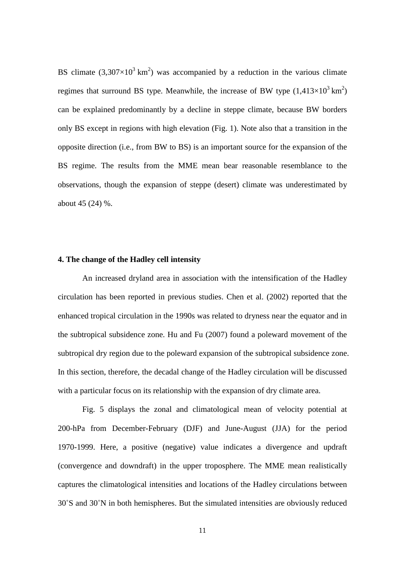BS climate  $(3,307\times10^{3} \text{ km}^2)$  was accompanied by a reduction in the various climate regimes that surround BS type. Meanwhile, the increase of BW type  $(1,413\times10^{3} \text{ km}^{2})$ can be explained predominantly by a decline in steppe climate, because BW borders only BS except in regions with high elevation (Fig. 1). Note also that a transition in the opposite direction (i.e., from BW to BS) is an important source for the expansion of the BS regime. The results from the MME mean bear reasonable resemblance to the observations, though the expansion of steppe (desert) climate was underestimated by about 45 (24) %.

#### **4. The change of the Hadley cell intensity**

An increased dryland area in association with the intensification of the Hadley circulation has been reported in previous studies. Chen et al. (2002) reported that the enhanced tropical circulation in the 1990s was related to dryness near the equator and in the subtropical subsidence zone. Hu and Fu (2007) found a poleward movement of the subtropical dry region due to the poleward expansion of the subtropical subsidence zone. In this section, therefore, the decadal change of the Hadley circulation will be discussed with a particular focus on its relationship with the expansion of dry climate area.

Fig. 5 displays the zonal and climatological mean of velocity potential at 200-hPa from December-February (DJF) and June-August (JJA) for the period 1970-1999. Here, a positive (negative) value indicates a divergence and updraft (convergence and downdraft) in the upper troposphere. The MME mean realistically captures the climatological intensities and locations of the Hadley circulations between 30˚S and 30˚N in both hemispheres. But the simulated intensities are obviously reduced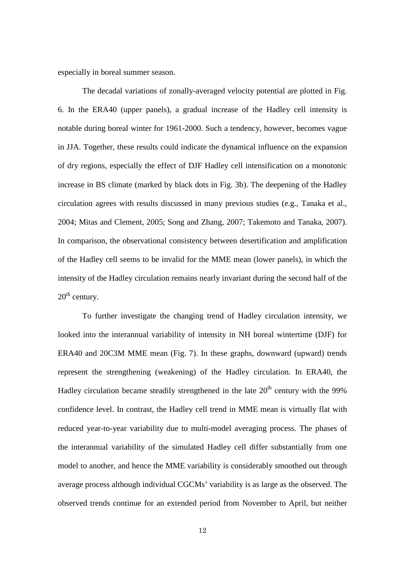especially in boreal summer season.

The decadal variations of zonally-averaged velocity potential are plotted in Fig. 6. In the ERA40 (upper panels), a gradual increase of the Hadley cell intensity is notable during boreal winter for 1961-2000. Such a tendency, however, becomes vague in JJA. Together, these results could indicate the dynamical influence on the expansion of dry regions, especially the effect of DJF Hadley cell intensification on a monotonic increase in BS climate (marked by black dots in Fig. 3b). The deepening of the Hadley circulation agrees with results discussed in many previous studies (e.g., Tanaka et al., 2004; Mitas and Clement, 2005; Song and Zhang, 2007; Takemoto and Tanaka, 2007). In comparison, the observational consistency between desertification and amplification of the Hadley cell seems to be invalid for the MME mean (lower panels), in which the intensity of the Hadley circulation remains nearly invariant during the second half of the  $20^{th}$  century.

To further investigate the changing trend of Hadley circulation intensity, we looked into the interannual variability of intensity in NH boreal wintertime (DJF) for ERA40 and 20C3M MME mean (Fig. 7). In these graphs, downward (upward) trends represent the strengthening (weakening) of the Hadley circulation. In ERA40, the Hadley circulation became steadily strengthened in the late  $20<sup>th</sup>$  century with the 99% confidence level. In contrast, the Hadley cell trend in MME mean is virtually flat with reduced year-to-year variability due to multi-model averaging process. The phases of the interannual variability of the simulated Hadley cell differ substantially from one model to another, and hence the MME variability is considerably smoothed out through average process although individual CGCMs' variability is as large as the observed. The observed trends continue for an extended period from November to April, but neither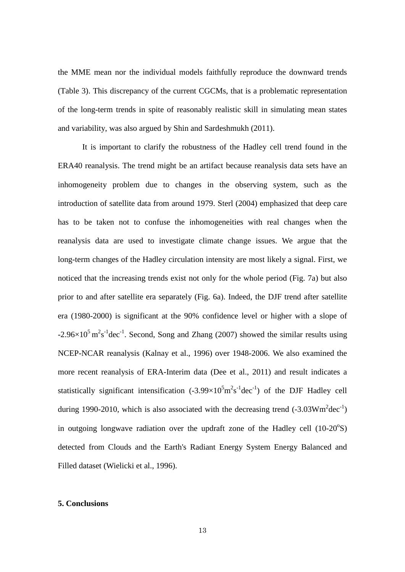the MME mean nor the individual models faithfully reproduce the downward trends (Table 3). This discrepancy of the current CGCMs, that is a problematic representation of the long-term trends in spite of reasonably realistic skill in simulating mean states and variability, was also argued by Shin and Sardeshmukh (2011).

It is important to clarify the robustness of the Hadley cell trend found in the ERA40 reanalysis. The trend might be an artifact because reanalysis data sets have an inhomogeneity problem due to changes in the observing system, such as the introduction of satellite data from around 1979. Sterl (2004) emphasized that deep care has to be taken not to confuse the inhomogeneities with real changes when the reanalysis data are used to investigate climate change issues. We argue that the long-term changes of the Hadley circulation intensity are most likely a signal. First, we noticed that the increasing trends exist not only for the whole period (Fig. 7a) but also prior to and after satellite era separately (Fig. 6a). Indeed, the DJF trend after satellite era (1980-2000) is significant at the 90% confidence level or higher with a slope of  $-2.96 \times 10^5$  m<sup>2</sup>s<sup>-1</sup> dec<sup>-1</sup>. Second, Song and Zhang (2007) showed the similar results using NCEP-NCAR reanalysis (Kalnay et al., 1996) over 1948-2006. We also examined the more recent reanalysis of ERA-Interim data (Dee et al., 2011) and result indicates a statistically significant intensification  $(-3.99 \times 10^5 \text{m}^2 \text{s}^{-1} \text{dec}^{-1})$  of the DJF Hadley cell during 1990-2010, which is also associated with the decreasing trend  $(-3.03 \text{Wm}^2 \text{dec}^{-1})$ in outgoing longwave radiation over the updraft zone of the Hadley cell  $(10-20°S)$ detected from Clouds and the Earth's Radiant Energy System Energy Balanced and Filled dataset (Wielicki et al., 1996).

## **5. Conclusions**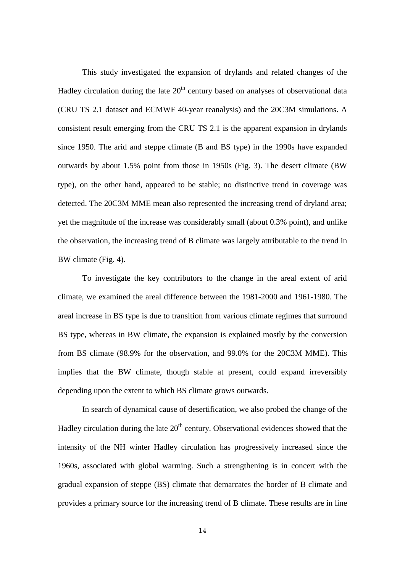This study investigated the expansion of drylands and related changes of the Hadley circulation during the late  $20<sup>th</sup>$  century based on analyses of observational data (CRU TS 2.1 dataset and ECMWF 40-year reanalysis) and the 20C3M simulations. A consistent result emerging from the CRU TS 2.1 is the apparent expansion in drylands since 1950. The arid and steppe climate (B and BS type) in the 1990s have expanded outwards by about 1.5% point from those in 1950s (Fig. 3). The desert climate (BW type), on the other hand, appeared to be stable; no distinctive trend in coverage was detected. The 20C3M MME mean also represented the increasing trend of dryland area; yet the magnitude of the increase was considerably small (about 0.3% point), and unlike the observation, the increasing trend of B climate was largely attributable to the trend in BW climate (Fig. 4).

To investigate the key contributors to the change in the areal extent of arid climate, we examined the areal difference between the 1981-2000 and 1961-1980. The areal increase in BS type is due to transition from various climate regimes that surround BS type, whereas in BW climate, the expansion is explained mostly by the conversion from BS climate (98.9% for the observation, and 99.0% for the 20C3M MME). This implies that the BW climate, though stable at present, could expand irreversibly depending upon the extent to which BS climate grows outwards.

In search of dynamical cause of desertification, we also probed the change of the Hadley circulation during the late  $20<sup>th</sup>$  century. Observational evidences showed that the intensity of the NH winter Hadley circulation has progressively increased since the 1960s, associated with global warming. Such a strengthening is in concert with the gradual expansion of steppe (BS) climate that demarcates the border of B climate and provides a primary source for the increasing trend of B climate. These results are in line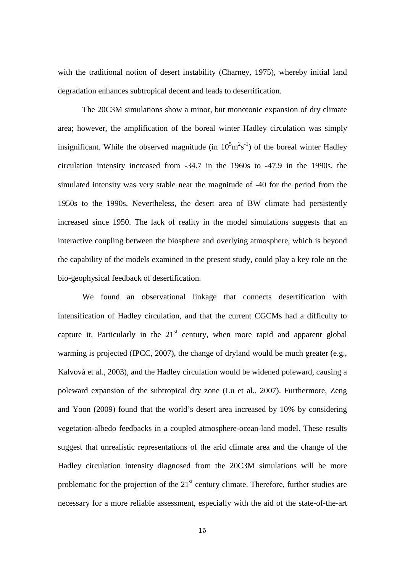with the traditional notion of desert instability (Charney, 1975), whereby initial land degradation enhances subtropical decent and leads to desertification.

The 20C3M simulations show a minor, but monotonic expansion of dry climate area; however, the amplification of the boreal winter Hadley circulation was simply insignificant. While the observed magnitude (in  $10^5 \text{m}^2 \text{s}^{-1}$ ) of the boreal winter Hadley circulation intensity increased from -34.7 in the 1960s to -47.9 in the 1990s, the simulated intensity was very stable near the magnitude of -40 for the period from the 1950s to the 1990s. Nevertheless, the desert area of BW climate had persistently increased since 1950. The lack of reality in the model simulations suggests that an interactive coupling between the biosphere and overlying atmosphere, which is beyond the capability of the models examined in the present study, could play a key role on the bio-geophysical feedback of desertification.

We found an observational linkage that connects desertification with intensification of Hadley circulation, and that the current CGCMs had a difficulty to capture it. Particularly in the  $21<sup>st</sup>$  century, when more rapid and apparent global warming is projected (IPCC, 2007), the change of dryland would be much greater (e.g., Kalvová et al., 2003), and the Hadley circulation would be widened poleward, causing a poleward expansion of the subtropical dry zone (Lu et al., 2007). Furthermore, Zeng and Yoon (2009) found that the world's desert area increased by 10% by considering vegetation-albedo feedbacks in a coupled atmosphere-ocean-land model. These results suggest that unrealistic representations of the arid climate area and the change of the Hadley circulation intensity diagnosed from the 20C3M simulations will be more problematic for the projection of the  $21<sup>st</sup>$  century climate. Therefore, further studies are necessary for a more reliable assessment, especially with the aid of the state-of-the-art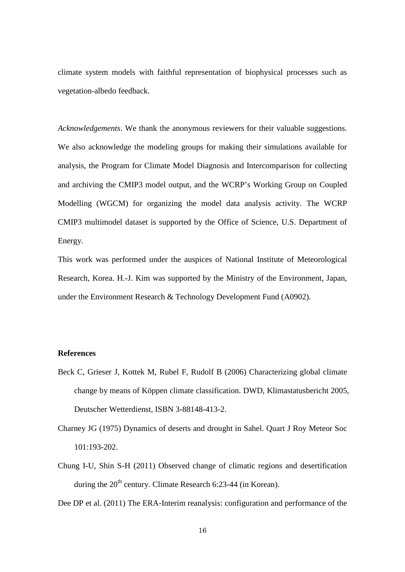climate system models with faithful representation of biophysical processes such as vegetation-albedo feedback.

*Acknowledgements*. We thank the anonymous reviewers for their valuable suggestions. We also acknowledge the modeling groups for making their simulations available for analysis, the Program for Climate Model Diagnosis and Intercomparison for collecting and archiving the CMIP3 model output, and the WCRP's Working Group on Coupled Modelling (WGCM) for organizing the model data analysis activity. The WCRP CMIP3 multimodel dataset is supported by the Office of Science, U.S. Department of Energy.

This work was performed under the auspices of National Institute of Meteorological Research, Korea. H.-J. Kim was supported by the Ministry of the Environment, Japan, under the Environment Research & Technology Development Fund (A0902).

## **References**

- Beck C, Grieser J, Kottek M, Rubel F, Rudolf B (2006) Characterizing global climate change by means of Köppen climate classification. DWD, Klimastatusbericht 2005, Deutscher Wetterdienst, ISBN 3-88148-413-2.
- Charney JG (1975) Dynamics of deserts and drought in Sahel. Quart J Roy Meteor Soc 101:193-202.
- Chung I-U, Shin S-H (2011) Observed change of climatic regions and desertification during the  $20<sup>th</sup>$  century. Climate Research 6:23-44 (in Korean).

Dee DP et al. (2011) The ERA-Interim reanalysis: configuration and performance of the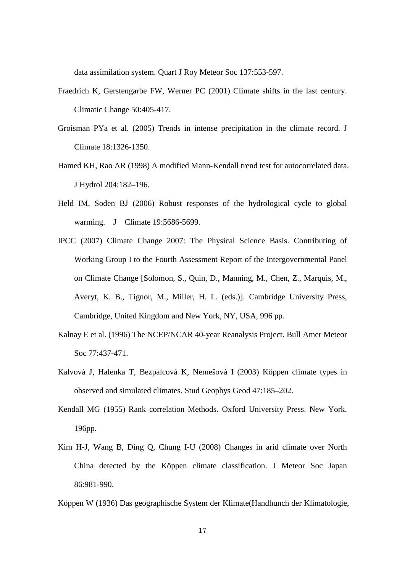data assimilation system. Quart J Roy Meteor Soc 137:553-597.

- Fraedrich K, Gerstengarbe FW, Werner PC (2001) Climate shifts in the last century. Climatic Change 50:405-417.
- Groisman PYa et al. (2005) Trends in intense precipitation in the climate record. J Climate 18:1326-1350.
- Hamed KH, Rao AR (1998) A modified Mann-Kendall trend test for autocorrelated data. J Hydrol 204:182–196.
- Held IM, Soden BJ (2006) Robust responses of the hydrological cycle to global warming. J Climate 19:5686-5699.
- IPCC (2007) Climate Change 2007: The Physical Science Basis. Contributing of Working Group I to the Fourth Assessment Report of the Intergovernmental Panel on Climate Change [Solomon, S., Quin, D., Manning, M., Chen, Z., Marquis, M., Averyt, K. B., Tignor, M., Miller, H. L. (eds.)]. Cambridge University Press, Cambridge, United Kingdom and New York, NY, USA, 996 pp.
- Kalnay E et al. (1996) The NCEP/NCAR 40-year Reanalysis Project. Bull Amer Meteor Soc 77:437-471.
- Kalvová J, Halenka T, Bezpalcová K, Nemešová I (2003) Köppen climate types in observed and simulated climates. Stud Geophys Geod 47:185–202.
- Kendall MG (1955) Rank correlation Methods. Oxford University Press. New York. 196pp.
- Kim H-J, Wang B, Ding Q, Chung I-U (2008) Changes in arid climate over North China detected by the Köppen climate classification. J Meteor Soc Japan 86:981-990.

Köppen W (1936) Das geographische System der Klimate(Handhunch der Klimatologie,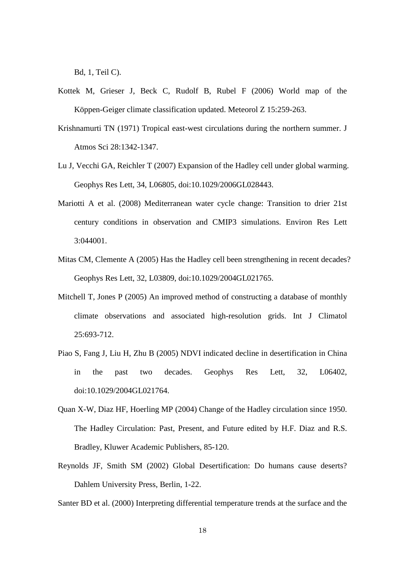Bd, 1, Teil C).

- Kottek M, Grieser J, Beck C, Rudolf B, Rubel F (2006) World map of the Köppen-Geiger climate classification updated. Meteorol Z 15:259-263.
- Krishnamurti TN (1971) Tropical east-west circulations during the northern summer. J Atmos Sci 28:1342-1347.
- Lu J, Vecchi GA, Reichler T (2007) Expansion of the Hadley cell under global warming. Geophys Res Lett, 34, L06805, doi:10.1029/2006GL028443.
- Mariotti A et al. (2008) Mediterranean water cycle change: Transition to drier 21st century conditions in observation and CMIP3 simulations. Environ Res Lett 3:044001.
- Mitas CM, Clemente A (2005) Has the Hadley cell been strengthening in recent decades? Geophys Res Lett, 32, L03809, doi:10.1029/2004GL021765.
- Mitchell T, Jones P (2005) An improved method of constructing a database of monthly climate observations and associated high-resolution grids. Int J Climatol 25:693-712.
- Piao S, Fang J, Liu H, Zhu B (2005) NDVI indicated decline in desertification in China in the past two decades. Geophys Res Lett, 32, L06402, doi:10.1029/2004GL021764.
- Quan X-W, Diaz HF, Hoerling MP (2004) Change of the Hadley circulation since 1950. The Hadley Circulation: Past, Present, and Future edited by H.F. Diaz and R.S. Bradley, Kluwer Academic Publishers, 85-120.
- Reynolds JF, Smith SM (2002) Global Desertification: Do humans cause deserts? Dahlem University Press, Berlin, 1-22.

Santer BD et al. (2000) Interpreting differential temperature trends at the surface and the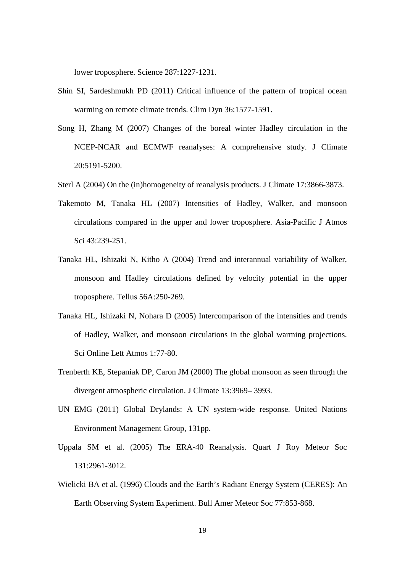lower troposphere. Science 287:1227-1231.

- Shin SI, Sardeshmukh PD (2011) Critical influence of the pattern of tropical ocean warming on remote climate trends. Clim Dyn 36:1577-1591.
- Song H, Zhang M (2007) Changes of the boreal winter Hadley circulation in the NCEP-NCAR and ECMWF reanalyses: A comprehensive study. J Climate 20:5191-5200.
- Sterl A (2004) On the (in)homogeneity of reanalysis products. J Climate 17:3866-3873.
- Takemoto M, Tanaka HL (2007) Intensities of Hadley, Walker, and monsoon circulations compared in the upper and lower troposphere. Asia-Pacific J Atmos Sci 43:239-251.
- Tanaka HL, Ishizaki N, Kitho A (2004) Trend and interannual variability of Walker, monsoon and Hadley circulations defined by velocity potential in the upper troposphere. Tellus 56A:250-269.
- Tanaka HL, Ishizaki N, Nohara D (2005) Intercomparison of the intensities and trends of Hadley, Walker, and monsoon circulations in the global warming projections. Sci Online Lett Atmos 1:77-80.
- Trenberth KE, Stepaniak DP, Caron JM (2000) The global monsoon as seen through the divergent atmospheric circulation. J Climate 13:3969– 3993.
- UN EMG (2011) Global Drylands: A UN system-wide response. United Nations Environment Management Group, 131pp.
- Uppala SM et al. (2005) The ERA-40 Reanalysis. Quart J Roy Meteor Soc 131:2961-3012.
- Wielicki BA et al. (1996) Clouds and the Earth's Radiant Energy System (CERES): An Earth Observing System Experiment. Bull Amer Meteor Soc 77:853-868.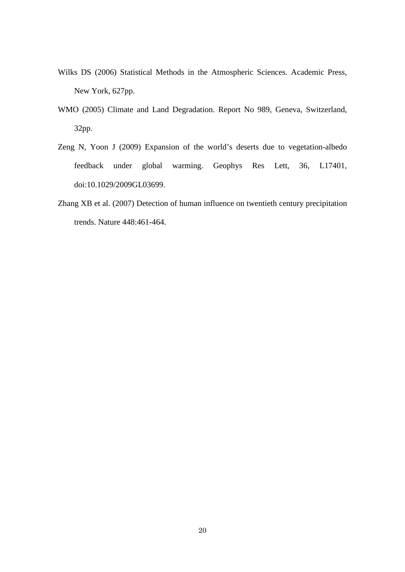- Wilks DS (2006) Statistical Methods in the Atmospheric Sciences. Academic Press, New York, 627pp.
- WMO (2005) Climate and Land Degradation. Report No 989, Geneva, Switzerland, 32pp.
- Zeng N, Yoon J (2009) Expansion of the world's deserts due to vegetation-albedo feedback under global warming. Geophys Res Lett, 36, L17401, doi:10.1029/2009GL03699.
- Zhang XB et al. (2007) Detection of human influence on twentieth century precipitation trends. Nature 448:461-464.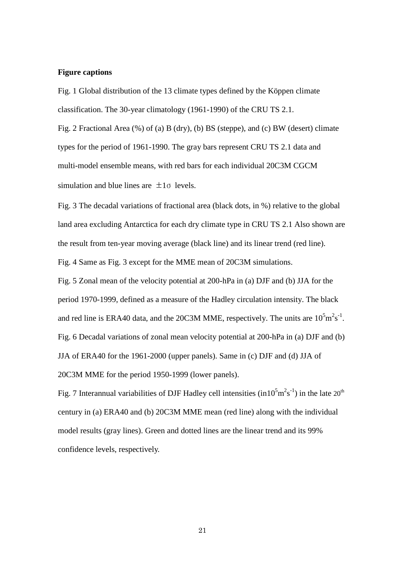#### **Figure captions**

Fig. 1 Global distribution of the 13 climate types defined by the Köppen climate classification. The 30-year climatology (1961-1990) of the CRU TS 2.1.

Fig. 2 Fractional Area (%) of (a) B (dry), (b) BS (steppe), and (c) BW (desert) climate types for the period of 1961-1990. The gray bars represent CRU TS 2.1 data and multi-model ensemble means, with red bars for each individual 20C3M CGCM simulation and blue lines are  $\pm 1\sigma$  levels.

Fig. 3 The decadal variations of fractional area (black dots, in %) relative to the global land area excluding Antarctica for each dry climate type in CRU TS 2.1 Also shown are the result from ten-year moving average (black line) and its linear trend (red line).

Fig. 4 Same as Fig. 3 except for the MME mean of 20C3M simulations.

Fig. 5 Zonal mean of the velocity potential at 200-hPa in (a) DJF and (b) JJA for the period 1970-1999, defined as a measure of the Hadley circulation intensity. The black and red line is ERA40 data, and the 20C3M MME, respectively. The units are  $10^5 \text{m}^2 \text{s}^{-1}$ . Fig. 6 Decadal variations of zonal mean velocity potential at 200-hPa in (a) DJF and (b) JJA of ERA40 for the 1961-2000 (upper panels). Same in (c) DJF and (d) JJA of 20C3M MME for the period 1950-1999 (lower panels).

Fig. 7 Interannual variabilities of DJF Hadley cell intensities (in10<sup>5</sup>m<sup>2</sup>s<sup>-1</sup>) in the late 20<sup>th</sup> century in (a) ERA40 and (b) 20C3M MME mean (red line) along with the individual model results (gray lines). Green and dotted lines are the linear trend and its 99% confidence levels, respectively.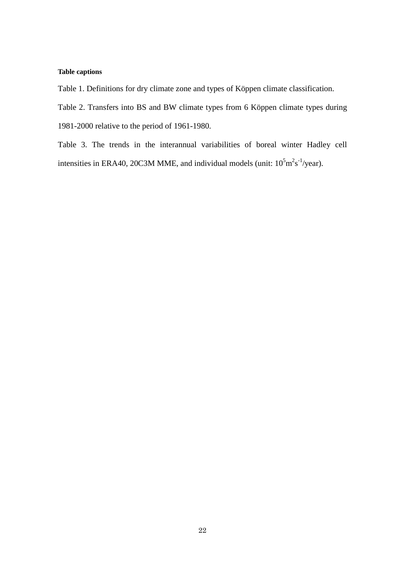## **Table captions**

Table 1. Definitions for dry climate zone and types of Köppen climate classification.

Table 2. Transfers into BS and BW climate types from 6 Köppen climate types during

1981-2000 relative to the period of 1961-1980.

Table 3. The trends in the interannual variabilities of boreal winter Hadley cell intensities in ERA40, 20C3M MME, and individual models (unit:  $10^5 \text{m}^2 \text{s}^{-1}$ /year).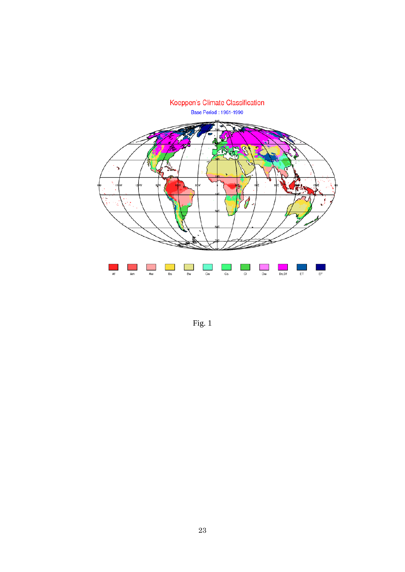

Fig. 1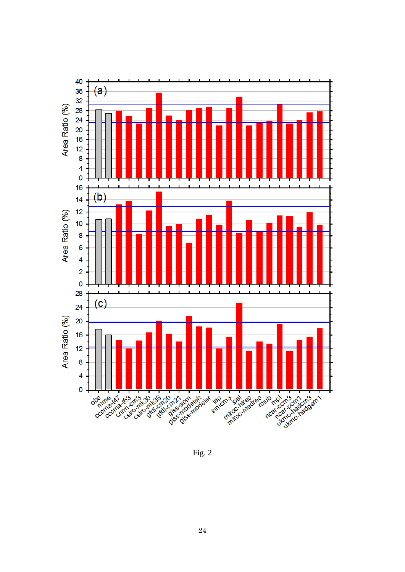

Fig. 2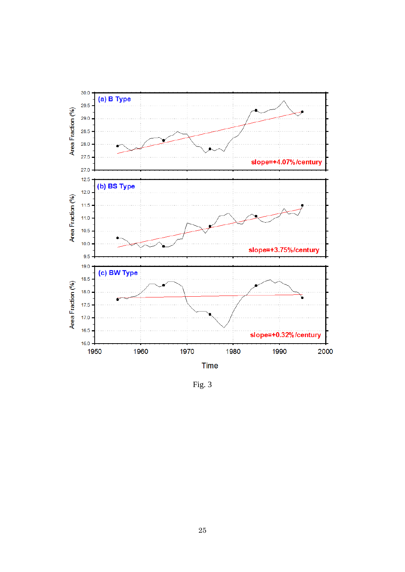

Fig. 3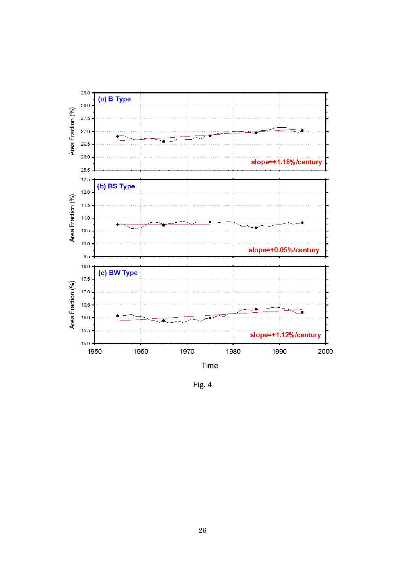

Fig. 4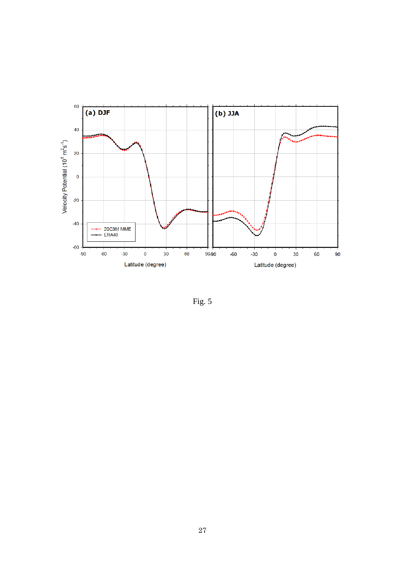

Fig. 5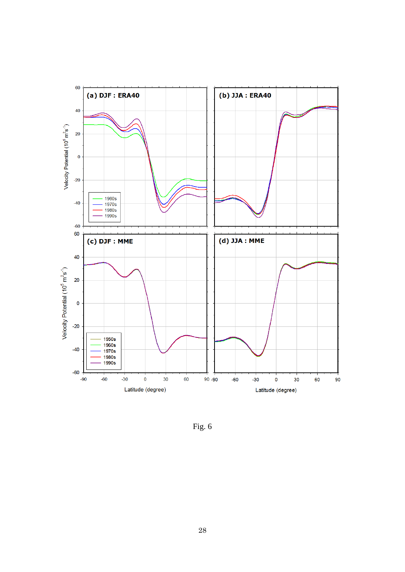

Fig. 6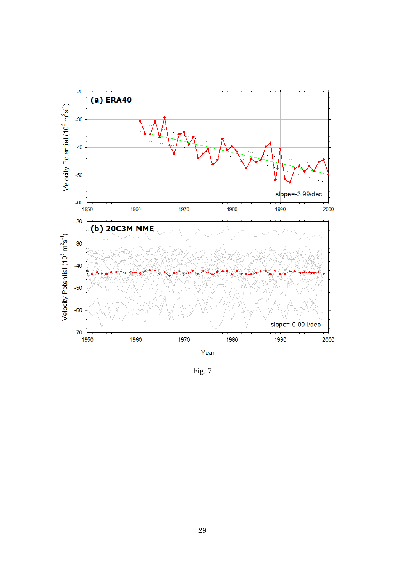

Fig. 7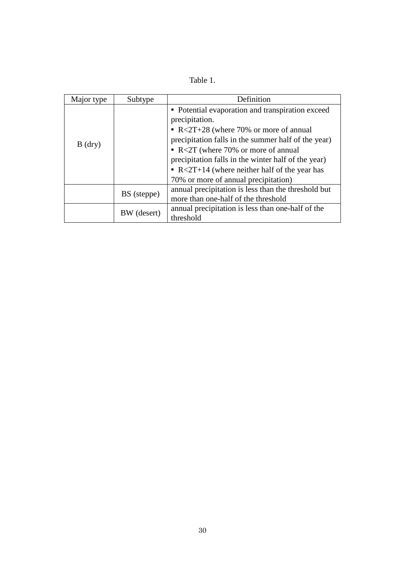| `able |  |
|-------|--|
|       |  |

| Major type | Subtype     | Definition                                                                                                                                                                                                                                                                                                                                                                     |
|------------|-------------|--------------------------------------------------------------------------------------------------------------------------------------------------------------------------------------------------------------------------------------------------------------------------------------------------------------------------------------------------------------------------------|
| $B$ (dry)  |             | • Potential evaporation and transpiration exceed<br>precipitation.<br>$\bullet$ R<2T+28 (where 70% or more of annual<br>precipitation falls in the summer half of the year)<br>$\bullet$ R<2T (where 70% or more of annual<br>precipitation falls in the winter half of the year)<br>• $R < 2T+14$ (where neither half of the year has<br>70% or more of annual precipitation) |
|            | BS (steppe) | annual precipitation is less than the threshold but<br>more than one-half of the threshold                                                                                                                                                                                                                                                                                     |
|            | BW (desert) | annual precipitation is less than one-half of the<br>threshold                                                                                                                                                                                                                                                                                                                 |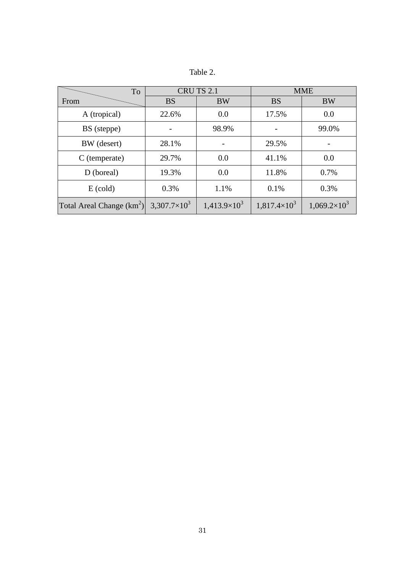| Table |  |
|-------|--|
|       |  |

| To                          | CRU TS 2.1            |                       | <b>MME</b>            |                     |
|-----------------------------|-----------------------|-----------------------|-----------------------|---------------------|
| From                        | <b>BS</b>             | <b>BW</b>             | <b>BS</b>             | <b>BW</b>           |
| A (tropical)                | 22.6%                 | 0.0                   | 17.5%                 | 0.0                 |
| BS (steppe)                 |                       | 98.9%                 |                       | 99.0%               |
| BW (desert)                 | 28.1%                 |                       | 29.5%                 |                     |
| $C$ (temperate)             | 29.7%                 | 0.0                   | 41.1%                 | 0.0                 |
| D (boreal)                  | 19.3%                 | 0.0                   | 11.8%                 | 0.7%                |
| $E$ (cold)                  | 0.3%                  | 1.1%                  | 0.1%                  | 0.3%                |
| Total Areal Change $(km^2)$ | $3,307.7\times10^{3}$ | $1,413.9\times10^{3}$ | $1,817.4\times10^{3}$ | $1,069.2\times10^3$ |